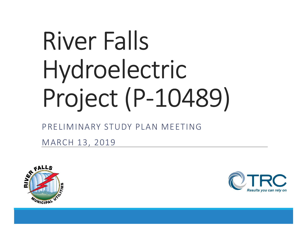# River Falls Hydroelectric Project (P-10489)

### PRELIMINARY STUDY PLAN MEETING

MARCH 13, 2019



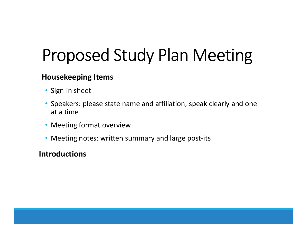## Proposed Study Plan Meeting

#### Housekeeping Items

- Sign-in sheet
- Speakers: please state name and affiliation, speak clearly and one at a time
- Meeting format overview
- Meeting notes: written summary and large post-its

#### Introductions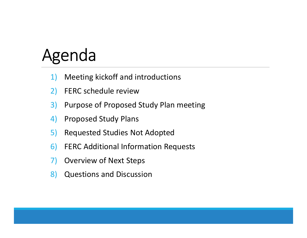## Agenda

- 1) Meeting kickoff and introductions
- 2) FERC schedule review
- 3) Purpose of Proposed Study Plan meeting
- 4) Proposed Study Plans
- 5) Requested Studies Not Adopted
- 6) FERC Additional Information Requests
- 7) Overview of Next Steps
- 8) Questions and Discussion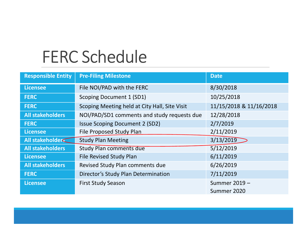### FERC Schedule

| <b>FERC Schedule</b>      |                                               |                         |
|---------------------------|-----------------------------------------------|-------------------------|
|                           |                                               |                         |
| <b>Responsible Entity</b> | <b>Pre-Filing Milestone</b>                   | <b>Date</b>             |
| <b>Licensee</b>           | File NOI/PAD with the FERC                    | 8/30/2018               |
| <b>FERC</b>               | Scoping Document 1 (SD1)                      | 10/25/2018              |
| <b>FERC</b>               | Scoping Meeting held at City Hall, Site Visit | 11/15/2018 & 11/16/2018 |
| <b>All stakeholders</b>   | NOI/PAD/SD1 comments and study requests due   | 12/28/2018              |
| <b>FERC</b>               | <b>Issue Scoping Document 2 (SD2)</b>         | 2/7/2019                |
| <b>Licensee</b>           | File Proposed Study Plan                      | 2/11/2019               |
| All stakeholder           | <b>Study Plan Meeting</b>                     | 3/13/2019               |
| <b>All stakeholders</b>   | <b>Study Plan comments due</b>                | 5/12/2019               |
| <b>Licensee</b>           | <b>File Revised Study Plan</b>                | 6/11/2019               |
| <b>All stakeholders</b>   | Revised Study Plan comments due               | 6/26/2019               |
| <b>FERC</b>               | Director's Study Plan Determination           | 7/11/2019               |
| <b>Licensee</b>           | <b>First Study Season</b>                     | Summer 2019 -           |
|                           |                                               | Summer 2020             |
|                           |                                               |                         |
|                           |                                               |                         |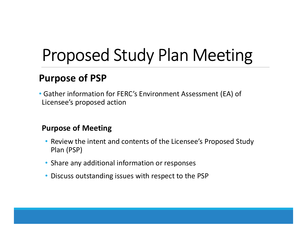## Proposed Study Plan Meeting

### Purpose of PSP

• Gather information for FERC's Environment Assessment (EA) of Licensee's proposed action

#### Purpose of Meeting

- Review the intent and contents of the Licensee's Proposed Study Plan (PSP)
- Share any additional information or responses
- Discuss outstanding issues with respect to the PSP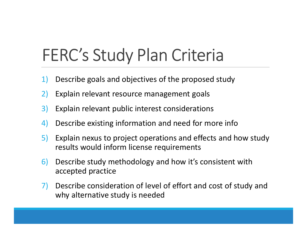## FERC's Study Plan Criteria

- 1) Describe goals and objectives of the proposed study
- 2) Explain relevant resource management goals
- 3) Explain relevant public interest considerations
- 4) Describe existing information and need for more info
- 5) Explain nexus to project operations and effects and how study results would inform license requirements
- 6) Describe study methodology and how it's consistent with accepted practice
- 7) Describe consideration of level of effort and cost of study and why alternative study is needed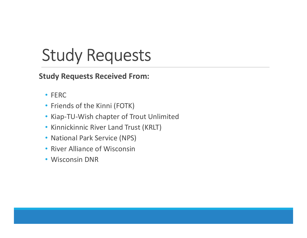## Study Requests

Study Requests Received From:

- FERC
- Friends of the Kinni (FOTK)
- Kiap-TU-Wish chapter of Trout Unlimited
- Kinnickinnic River Land Trust (KRLT)
- National Park Service (NPS)
- River Alliance of Wisconsin
- Wisconsin DNR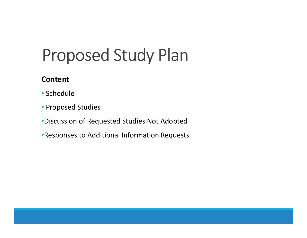## Proposed Study Plan

### **Content**

- Schedule
- Proposed Studies
- •Discussion of Requested Studies Not Adopted
- •Responses to Additional Information Requests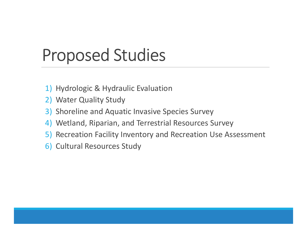## Proposed Studies

- 1) Hydrologic & Hydraulic Evaluation
- 2) Water Quality Study
- 3) Shoreline and Aquatic Invasive Species Survey
- 4) Wetland, Riparian, and Terrestrial Resources Survey
- 5) Recreation Facility Inventory and Recreation Use Assessment
- 6) Cultural Resources Study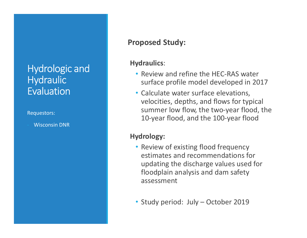### Hydrologic and **Hydraulic Evaluation**

#### Requestors:

- Wisconsin DNR

#### Proposed Study:

#### Hydraulics:

- Review and refine the HEC-RAS water surface profile model developed in 2017
- Calculate water surface elevations, velocities, depths, and flows for typical summer low flow, the two-year flood, the 10-year flood, and the 100-year flood

#### Hydrology:

- Review of existing flood frequency estimates and recommendations for updating the discharge values used for floodplain analysis and dam safety assessment summer low flow, the two-year flood, the<br>10-year flood, and the 100-year flood<br>ydrology:<br>• Review of existing flood frequency<br>estimates and recommendations for<br>updating the discharge values used for<br>floodplain analysis and
-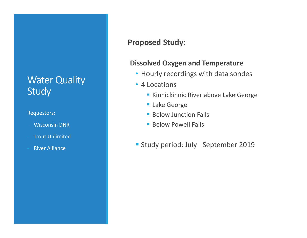### Water Quality Study

#### Requestors:

- Wisconsin DNR
- **Trout Unlimited**
- **River Alliance**

#### Proposed Study:

#### Dissolved Oxygen and Temperature

- Hourly recordings with data sondes
- 4 Locations
	- **Kinnickinnic River above Lake George**
	- **Lake George**
	- **Below Junction Falls**
	- **Below Powell Falls**
- Strains Solved Oxygen and Temperature<br>
Hourly recordings with data sondes<br>
4 Locations<br>
Kinnickinnic River above Lake George<br>
Lake George<br>
Below Junction Falls<br>
Below Powell Falls<br>
Study period: July– Septemb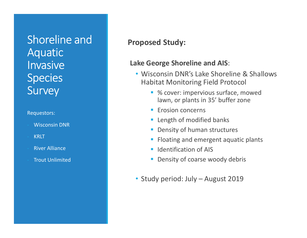### Shoreline and **Aquatic Invasive Species** Survey

#### Requestors:

- Wisconsin DNR
- KRLT
- **River Alliance**
- **Trout Unlimited**

#### Proposed Study:

#### Lake George Shoreline and AIS:

- Wisconsin DNR's Lake Shoreline & Shallows Habitat Monitoring Field Protocol
- % cover: impervious surface, mowed lawn, or plants in 35' buffer zone • Study period: July – August 2019<br>• Study period: July – August 2019<br>• Erosion concerns<br>• Length of modified banks<br>• Density of human structures<br>• Floating and emergent aquatic plants<br>• Identification of AIS<br>• Density of
	- **Experience Expanding Concerns**
	- **Length of modified banks**
	- **Density of human structures**
	- Floating and emergent aquatic plants
	- **IDENTIFICATION OF AIS**
	- **Density of coarse woody debris**
-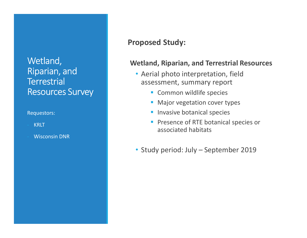### Wetland, Riparian, and **Terrestrial** Resources Survey

#### Requestors:

- **KRLT**
- Wisconsin DNR

#### Proposed Study:

#### Wetland, Riparian, and Terrestrial Resources

- Aerial photo interpretation, field assessment, summary report Figure 11 Alexander Controller<br>• Aerial photo interpretation, field<br>• Study assessment, summary report<br>• Common wildlife species<br>• Major vegetation cover types<br>• Invasive botanical species<br>• Presence of RTE botanical speci
	- **Common wildlife species**
	- **Major vegetation cover types**
	- **Invasive botanical species**
	- Presence of RTE botanical species or associated habitats
-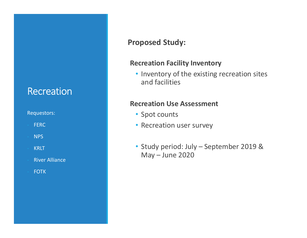### **Recreation**

#### Requestors:

- FERC
- NPS
- KRLT
- **River Alliance**
- FOTK

#### Proposed Study:

#### Recreation Facility Inventory

• Inventory of the existing recreation sites and facilities ecreation Facility Inventory<br>• Inventory of the existing recreation sites<br>and facilities<br>ecreation Use Assessment<br>• Spot counts<br>• Recreation user survey<br>• Study period: July – September 2019 &<br>May – June 2020 reation Facility Inventory<br>Inventory of the existing recreation sites<br>and facilities<br>reation Use Assessment<br>Spot counts<br>Recreation user survey<br>Study period: July – September 2019 &<br>May – June 2020

#### Recreation Use Assessment

- Spot counts
- Recreation user survey
-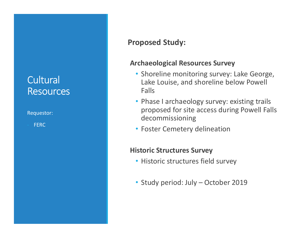### **Cultural Resources**

Requestor:

FERC

#### Proposed Study:

#### Archaeological Resources Survey

- Shoreline monitoring survey: Lake George, Lake Louise, and shoreline below Powell Falls
- Phase I archaeology survey: existing trails proposed for site access during Powell Falls decommissioning Falls<br>• Phase I archaeology survey: existing trails<br>proposed for site access during Powell Falls<br>decommissioning<br>• Foster Cemetery delineation<br>**istoric Structures Survey**<br>• Historic structures field survey<br>• Study period:
- Foster Cemetery delineation

#### Historic Structures Survey

- Historic structures field survey
-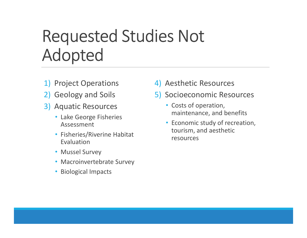### Requested Studies Not Adopted

- 1) Project Operations
- 2) Geology and Soils
- 3) Aquatic Resources
	- Lake George Fisheries Assessment
	- Fisheries/Riverine Habitat Evaluation
	- Mussel Survey
	- Macroinvertebrate Survey
	- Biological Impacts
- 4) Aesthetic Resources
- 5) Socioeconomic Resources
	- Costs of operation, maintenance, and benefits
	- Economic study of recreation, tourism, and aesthetic resources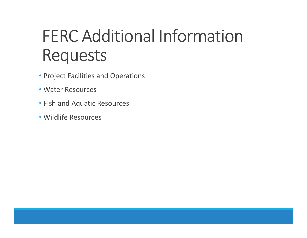## FERC Additional Information Requests

- Project Facilities and Operations
- Water Resources
- Fish and Aquatic Resources
- Wildlife Resources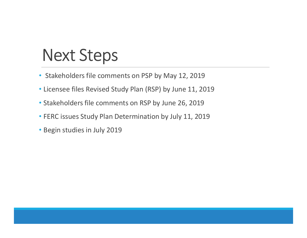## Next Steps

- Stakeholders file comments on PSP by May 12, 2019
- Licensee files Revised Study Plan (RSP) by June 11, 2019
- Stakeholders file comments on RSP by June 26, 2019
- FERC issues Study Plan Determination by July 11, 2019
- Begin studies in July 2019